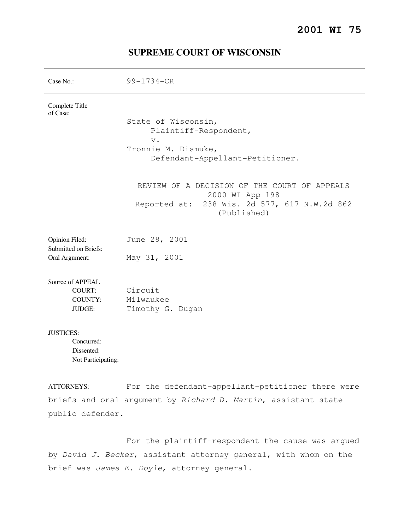# Case No.: 99-1734-CR Complete Title of Case: State of Wisconsin, Plaintiff-Respondent, v. Tronnie M. Dismuke, Defendant-Appellant-Petitioner. REVIEW OF A DECISION OF THE COURT OF APPEALS 2000 WI App 198 Reported at: 238 Wis. 2d 577, 617 N.W.2d 862 (Published) Opinion Filed: June 28, 2001 Submitted on Briefs: Oral Argument: May 31, 2001 Source of APPEAL COURT: Circuit COUNTY: Milwaukee JUDGE: Timothy G. Dugan JUSTICES: Concurred: Dissented: Not Participating:

### **SUPREME COURT OF WISCONSIN**

ATTORNEYS: For the defendant-appellant-petitioner there were briefs and oral argument by Richard D. Martin, assistant state public defender.

 For the plaintiff-respondent the cause was argued by David J. Becker, assistant attorney general, with whom on the brief was James E. Doyle, attorney general.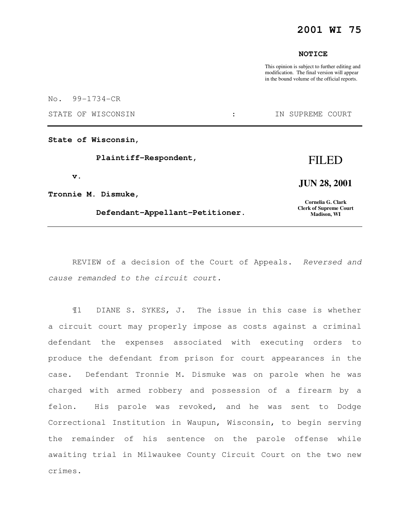## **2001 WI 75**

#### **NOTICE**

This opinion is subject to further editing and modification. The final version will appear in the bound volume of the official reports.

No. 99-1734-CR

STATE OF WISCONSIN  $\qquad \qquad : \qquad \qquad$  IN SUPREME COURT

**State of Wisconsin,** 

 **Plaintiff-Respondent,** 

 **v.** 

**Tronnie M. Dismuke,** 

 **Defendant-Appellant-Petitioner.** 

**JUN 28, 2001** 

**Cornelia G. Clark Clerk of Supreme Court Madison, WI** 

REVIEW of a decision of the Court of Appeals. Reversed and cause remanded to the circuit court.

¶1 DIANE S. SYKES, J. The issue in this case is whether a circuit court may properly impose as costs against a criminal defendant the expenses associated with executing orders to produce the defendant from prison for court appearances in the case. Defendant Tronnie M. Dismuke was on parole when he was charged with armed robbery and possession of a firearm by a felon. His parole was revoked, and he was sent to Dodge Correctional Institution in Waupun, Wisconsin, to begin serving the remainder of his sentence on the parole offense while awaiting trial in Milwaukee County Circuit Court on the two new crimes.

## FILED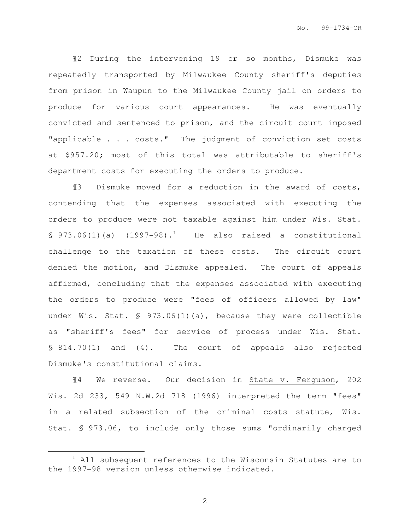¶2 During the intervening 19 or so months, Dismuke was repeatedly transported by Milwaukee County sheriff's deputies from prison in Waupun to the Milwaukee County jail on orders to produce for various court appearances. He was eventually convicted and sentenced to prison, and the circuit court imposed "applicable . . . costs." The judgment of conviction set costs at \$957.20; most of this total was attributable to sheriff's department costs for executing the orders to produce.

¶3 Dismuke moved for a reduction in the award of costs, contending that the expenses associated with executing the orders to produce were not taxable against him under Wis. Stat.  $\$$  973.06(1)(a) (1997-98).<sup>1</sup> He also raised a constitutional challenge to the taxation of these costs. The circuit court denied the motion, and Dismuke appealed. The court of appeals affirmed, concluding that the expenses associated with executing the orders to produce were "fees of officers allowed by law" under Wis. Stat. § 973.06(1)(a), because they were collectible as "sheriff's fees" for service of process under Wis. Stat. § 814.70(1) and (4). The court of appeals also rejected Dismuke's constitutional claims.

¶4 We reverse. Our decision in State v. Ferguson, 202 Wis. 2d 233, 549 N.W.2d 718 (1996) interpreted the term "fees" in a related subsection of the criminal costs statute, Wis. Stat. § 973.06, to include only those sums "ordinarily charged

e<br>S

 $1$  All subsequent references to the Wisconsin Statutes are to the 1997-98 version unless otherwise indicated.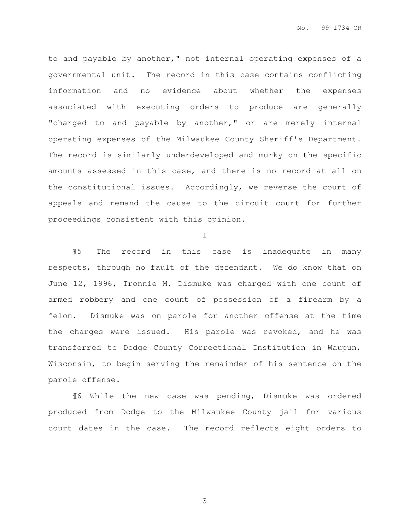to and payable by another," not internal operating expenses of a governmental unit. The record in this case contains conflicting information and no evidence about whether the expenses associated with executing orders to produce are generally "charged to and payable by another," or are merely internal operating expenses of the Milwaukee County Sheriff's Department. The record is similarly underdeveloped and murky on the specific amounts assessed in this case, and there is no record at all on the constitutional issues. Accordingly, we reverse the court of appeals and remand the cause to the circuit court for further proceedings consistent with this opinion.

I

¶5 The record in this case is inadequate in many respects, through no fault of the defendant. We do know that on June 12, 1996, Tronnie M. Dismuke was charged with one count of armed robbery and one count of possession of a firearm by a felon. Dismuke was on parole for another offense at the time the charges were issued. His parole was revoked, and he was transferred to Dodge County Correctional Institution in Waupun, Wisconsin, to begin serving the remainder of his sentence on the parole offense.

¶6 While the new case was pending, Dismuke was ordered produced from Dodge to the Milwaukee County jail for various court dates in the case. The record reflects eight orders to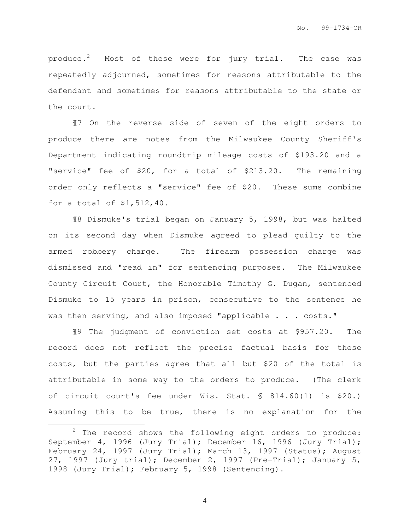produce.<sup>2</sup> Most of these were for jury trial. The case was repeatedly adjourned, sometimes for reasons attributable to the defendant and sometimes for reasons attributable to the state or the court.

¶7 On the reverse side of seven of the eight orders to produce there are notes from the Milwaukee County Sheriff's Department indicating roundtrip mileage costs of \$193.20 and a "service" fee of \$20, for a total of \$213.20. The remaining order only reflects a "service" fee of \$20. These sums combine for a total of \$1,512,40.

¶8 Dismuke's trial began on January 5, 1998, but was halted on its second day when Dismuke agreed to plead guilty to the armed robbery charge. The firearm possession charge was dismissed and "read in" for sentencing purposes. The Milwaukee County Circuit Court, the Honorable Timothy G. Dugan, sentenced Dismuke to 15 years in prison, consecutive to the sentence he was then serving, and also imposed "applicable . . . costs."

¶9 The judgment of conviction set costs at \$957.20. The record does not reflect the precise factual basis for these costs, but the parties agree that all but \$20 of the total is attributable in some way to the orders to produce. (The clerk of circuit court's fee under Wis. Stat. § 814.60(1) is \$20.) Assuming this to be true, there is no explanation for the

e<br>S

 $2$  The record shows the following eight orders to produce: September 4, 1996 (Jury Trial); December 16, 1996 (Jury Trial); February 24, 1997 (Jury Trial); March 13, 1997 (Status); August 27, 1997 (Jury trial); December 2, 1997 (Pre-Trial); January 5, 1998 (Jury Trial); February 5, 1998 (Sentencing).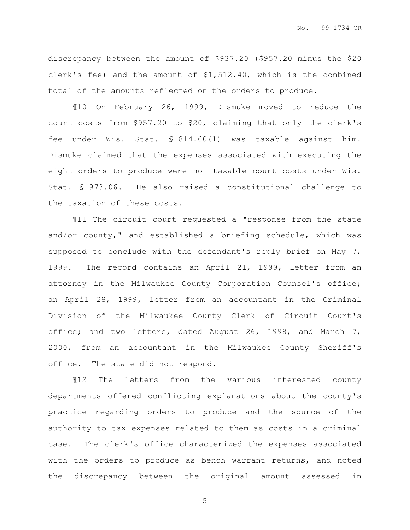discrepancy between the amount of \$937.20 (\$957.20 minus the \$20 clerk's fee) and the amount of \$1,512.40, which is the combined total of the amounts reflected on the orders to produce.

¶10 On February 26, 1999, Dismuke moved to reduce the court costs from \$957.20 to \$20, claiming that only the clerk's fee under Wis. Stat. § 814.60(1) was taxable against him. Dismuke claimed that the expenses associated with executing the eight orders to produce were not taxable court costs under Wis. Stat. § 973.06. He also raised a constitutional challenge to the taxation of these costs.

¶11 The circuit court requested a "response from the state and/or county," and established a briefing schedule, which was supposed to conclude with the defendant's reply brief on May 7, 1999. The record contains an April 21, 1999, letter from an attorney in the Milwaukee County Corporation Counsel's office; an April 28, 1999, letter from an accountant in the Criminal Division of the Milwaukee County Clerk of Circuit Court's office; and two letters, dated August 26, 1998, and March 7, 2000, from an accountant in the Milwaukee County Sheriff's office. The state did not respond.

¶12 The letters from the various interested county departments offered conflicting explanations about the county's practice regarding orders to produce and the source of the authority to tax expenses related to them as costs in a criminal case. The clerk's office characterized the expenses associated with the orders to produce as bench warrant returns, and noted the discrepancy between the original amount assessed in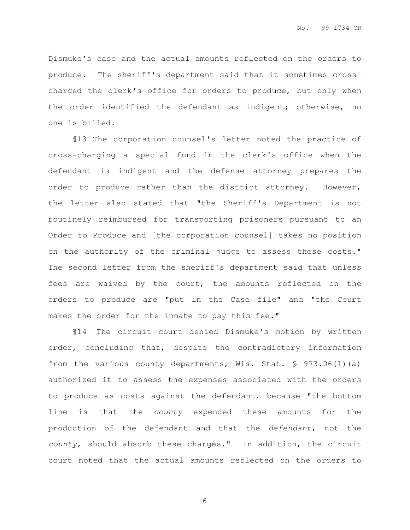Dismuke's case and the actual amounts reflected on the orders to produce. The sheriff's department said that it sometimes crosscharged the clerk's office for orders to produce, but only when the order identified the defendant as indigent; otherwise, no one is billed.

¶13 The corporation counsel's letter noted the practice of cross-charging a special fund in the clerk's office when the defendant is indigent and the defense attorney prepares the order to produce rather than the district attorney. However, the letter also stated that "the Sheriff's Department is not routinely reimbursed for transporting prisoners pursuant to an Order to Produce and [the corporation counsel] takes no position on the authority of the criminal judge to assess these costs." The second letter from the sheriff's department said that unless fees are waived by the court, the amounts reflected on the orders to produce are "put in the Case file" and "the Court makes the order for the inmate to pay this fee."

¶14 The circuit court denied Dismuke's motion by written order, concluding that, despite the contradictory information from the various county departments, Wis. Stat. § 973.06(1)(a) authorized it to assess the expenses associated with the orders to produce as costs against the defendant, because "the bottom line is that the county expended these amounts for the production of the defendant and that the defendant, not the county, should absorb these charges." In addition, the circuit court noted that the actual amounts reflected on the orders to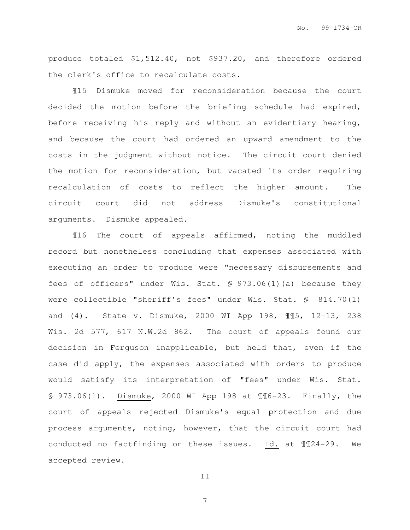produce totaled \$1,512.40, not \$937.20, and therefore ordered the clerk's office to recalculate costs.

¶15 Dismuke moved for reconsideration because the court decided the motion before the briefing schedule had expired, before receiving his reply and without an evidentiary hearing, and because the court had ordered an upward amendment to the costs in the judgment without notice. The circuit court denied the motion for reconsideration, but vacated its order requiring recalculation of costs to reflect the higher amount. The circuit court did not address Dismuke's constitutional arguments. Dismuke appealed.

¶16 The court of appeals affirmed, noting the muddled record but nonetheless concluding that expenses associated with executing an order to produce were "necessary disbursements and fees of officers" under Wis. Stat. § 973.06(1)(a) because they were collectible "sheriff's fees" under Wis. Stat. § 814.70(1) and (4). State v. Dismuke, 2000 WI App 198, ¶¶5, 12-13, 238 Wis. 2d 577, 617 N.W.2d 862. The court of appeals found our decision in Ferguson inapplicable, but held that, even if the case did apply, the expenses associated with orders to produce would satisfy its interpretation of "fees" under Wis. Stat. § 973.06(1). Dismuke, 2000 WI App 198 at ¶¶6-23. Finally, the court of appeals rejected Dismuke's equal protection and due process arguments, noting, however, that the circuit court had conducted no factfinding on these issues. Id. at ¶¶24-29. We accepted review.

II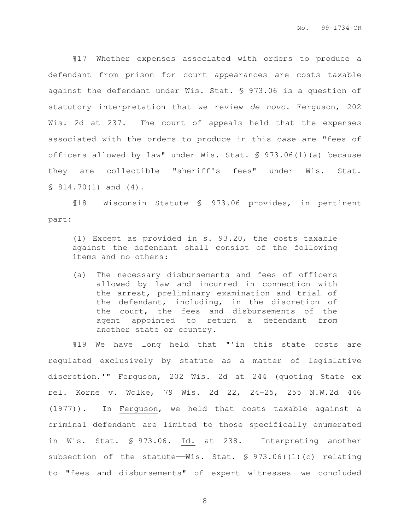¶17 Whether expenses associated with orders to produce a defendant from prison for court appearances are costs taxable against the defendant under Wis. Stat. § 973.06 is a question of statutory interpretation that we review de novo. Ferguson, 202 Wis. 2d at 237. The court of appeals held that the expenses associated with the orders to produce in this case are "fees of officers allowed by law" under Wis. Stat. § 973.06(1)(a) because they are collectible "sheriff's fees" under Wis. Stat.  $$814.70(1)$  and  $(4)$ .

¶18 Wisconsin Statute § 973.06 provides, in pertinent part:

(1) Except as provided in s. 93.20, the costs taxable against the defendant shall consist of the following items and no others:

(a) The necessary disbursements and fees of officers allowed by law and incurred in connection with the arrest, preliminary examination and trial of the defendant, including, in the discretion of the court, the fees and disbursements of the agent appointed to return a defendant from another state or country.

¶19 We have long held that "'in this state costs are regulated exclusively by statute as a matter of legislative discretion.'" Ferguson, 202 Wis. 2d at 244 (quoting State ex rel. Korne v. Wolke, 79 Wis. 2d 22, 24-25, 255 N.W.2d 446 (1977)). In Ferguson, we held that costs taxable against a criminal defendant are limited to those specifically enumerated in Wis. Stat. § 973.06. Id. at 238. Interpreting another subsection of the statute—Wis. Stat.  $\S$  973.06((1)(c) relating to "fees and disbursements" of expert witnesses--we concluded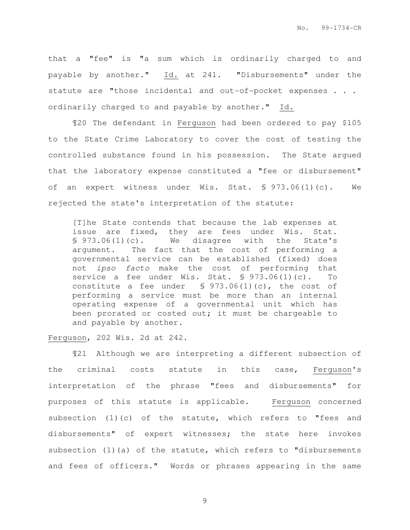that a "fee" is "a sum which is ordinarily charged to and payable by another." Id. at 241. "Disbursements" under the statute are "those incidental and out-of-pocket expenses . . . ordinarily charged to and payable by another." Id.

¶20 The defendant in Ferguson had been ordered to pay \$105 to the State Crime Laboratory to cover the cost of testing the controlled substance found in his possession. The State argued that the laboratory expense constituted a "fee or disbursement" of an expert witness under Wis. Stat. § 973.06(1)(c). We rejected the state's interpretation of the statute:

[T]he State contends that because the lab expenses at issue are fixed, they are fees under Wis. Stat. § 973.06(1)(c). We disagree with the State's argument. The fact that the cost of performing a governmental service can be established (fixed) does not ipso facto make the cost of performing that service a fee under Wis. Stat. § 973.06(1)(c). To constitute a fee under § 973.06(1)(c), the cost of performing a service must be more than an internal operating expense of a governmental unit which has been prorated or costed out; it must be chargeable to and payable by another.

#### Ferguson, 202 Wis. 2d at 242.

¶21 Although we are interpreting a different subsection of the criminal costs statute in this case, Ferguson's interpretation of the phrase "fees and disbursements" for purposes of this statute is applicable. Ferguson concerned subsection (1)(c) of the statute, which refers to "fees and disbursements" of expert witnesses; the state here invokes subsection (1)(a) of the statute, which refers to "disbursements and fees of officers." Words or phrases appearing in the same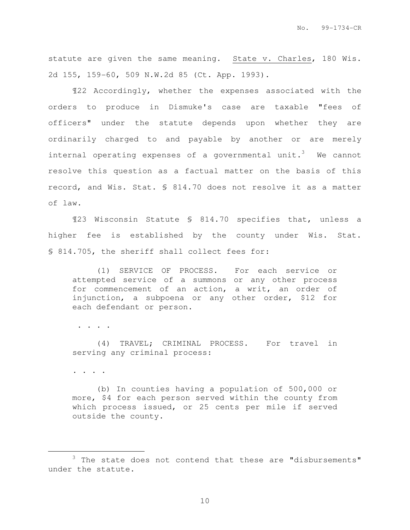statute are given the same meaning. State v. Charles, 180 Wis. 2d 155, 159-60, 509 N.W.2d 85 (Ct. App. 1993).

¶22 Accordingly, whether the expenses associated with the orders to produce in Dismuke's case are taxable "fees of officers" under the statute depends upon whether they are ordinarily charged to and payable by another or are merely internal operating expenses of a governmental unit.<sup>3</sup> We cannot resolve this question as a factual matter on the basis of this record, and Wis. Stat. § 814.70 does not resolve it as a matter of law.

¶23 Wisconsin Statute § 814.70 specifies that, unless a higher fee is established by the county under Wis. Stat. § 814.705, the sheriff shall collect fees for:

(1) SERVICE OF PROCESS. For each service or attempted service of a summons or any other process for commencement of an action, a writ, an order of injunction, a subpoena or any other order, \$12 for each defendant or person.

. . . .

(4) TRAVEL; CRIMINAL PROCESS. For travel in serving any criminal process:

. . . .

e<br>S

(b) In counties having a population of 500,000 or more, \$4 for each person served within the county from which process issued, or 25 cents per mile if served outside the county.

 $3$  The state does not contend that these are "disbursements" under the statute.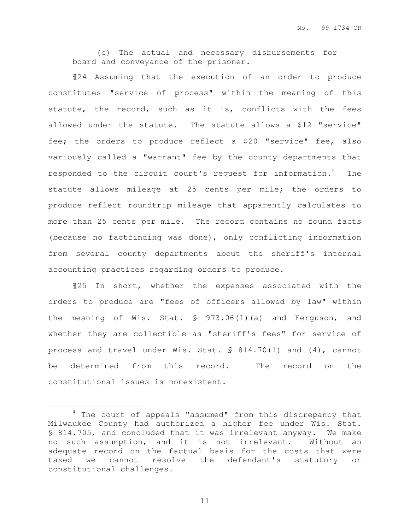(c) The actual and necessary disbursements for board and conveyance of the prisoner.

¶24 Assuming that the execution of an order to produce constitutes "service of process" within the meaning of this statute, the record, such as it is, conflicts with the fees allowed under the statute. The statute allows a \$12 "service" fee; the orders to produce reflect a \$20 "service" fee, also variously called a "warrant" fee by the county departments that responded to the circuit court's request for information. $4$  The statute allows mileage at 25 cents per mile; the orders to produce reflect roundtrip mileage that apparently calculates to more than 25 cents per mile. The record contains no found facts (because no factfinding was done), only conflicting information from several county departments about the sheriff's internal accounting practices regarding orders to produce.

¶25 In short, whether the expenses associated with the orders to produce are "fees of officers allowed by law" within the meaning of Wis. Stat. § 973.06(1)(a) and Ferguson, and whether they are collectible as "sheriff's fees" for service of process and travel under Wis. Stat. § 814.70(1) and (4), cannot be determined from this record. The record on the constitutional issues is nonexistent.

e<br>S

<sup>&</sup>lt;sup>4</sup> The court of appeals "assumed" from this discrepancy that Milwaukee County had authorized a higher fee under Wis. Stat. § 814.705, and concluded that it was irrelevant anyway. We make no such assumption, and it is not irrelevant. Without an adequate record on the factual basis for the costs that were taxed we cannot resolve the defendant's statutory or constitutional challenges.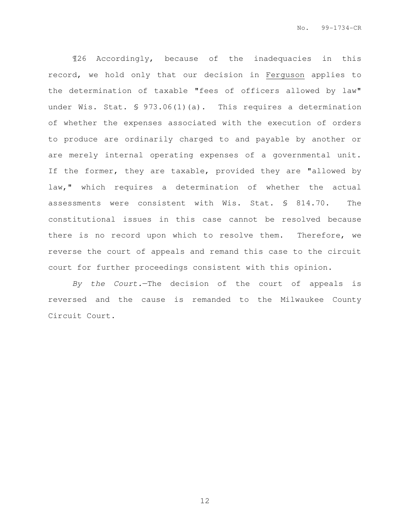¶26 Accordingly, because of the inadequacies in this record, we hold only that our decision in Ferguson applies to the determination of taxable "fees of officers allowed by law" under Wis. Stat. § 973.06(1)(a). This requires a determination of whether the expenses associated with the execution of orders to produce are ordinarily charged to and payable by another or are merely internal operating expenses of a governmental unit. If the former, they are taxable, provided they are "allowed by law," which requires a determination of whether the actual assessments were consistent with Wis. Stat. § 814.70. The constitutional issues in this case cannot be resolved because there is no record upon which to resolve them. Therefore, we reverse the court of appeals and remand this case to the circuit court for further proceedings consistent with this opinion.

By the Court.—The decision of the court of appeals is reversed and the cause is remanded to the Milwaukee County Circuit Court.